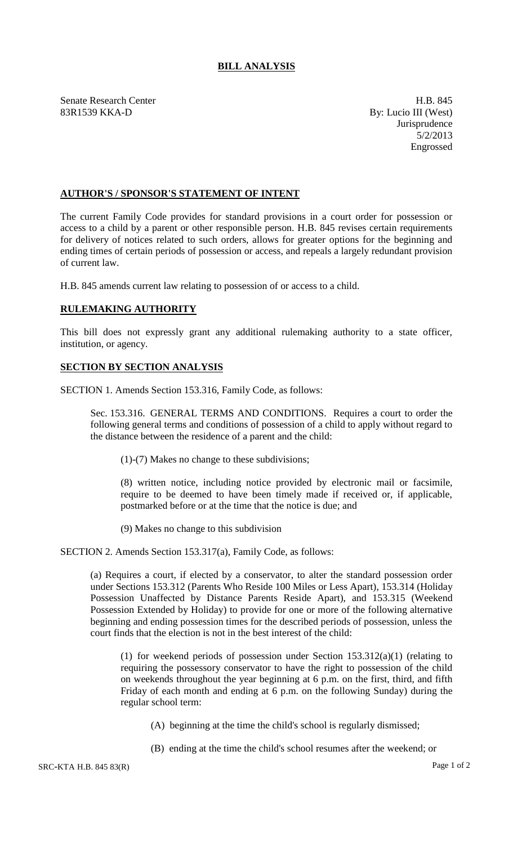## **BILL ANALYSIS**

Senate Research Center **H.B.** 845 83R1539 KKA-D By: Lucio III (West)

**Jurisprudence** 5/2/2013 Engrossed

## **AUTHOR'S / SPONSOR'S STATEMENT OF INTENT**

The current Family Code provides for standard provisions in a court order for possession or access to a child by a parent or other responsible person. H.B. 845 revises certain requirements for delivery of notices related to such orders, allows for greater options for the beginning and ending times of certain periods of possession or access, and repeals a largely redundant provision of current law.

H.B. 845 amends current law relating to possession of or access to a child.

## **RULEMAKING AUTHORITY**

This bill does not expressly grant any additional rulemaking authority to a state officer, institution, or agency.

## **SECTION BY SECTION ANALYSIS**

SECTION 1. Amends Section 153.316, Family Code, as follows:

Sec. 153.316. GENERAL TERMS AND CONDITIONS. Requires a court to order the following general terms and conditions of possession of a child to apply without regard to the distance between the residence of a parent and the child:

(1)-(7) Makes no change to these subdivisions;

(8) written notice, including notice provided by electronic mail or facsimile, require to be deemed to have been timely made if received or, if applicable, postmarked before or at the time that the notice is due; and

(9) Makes no change to this subdivision

SECTION 2. Amends Section 153.317(a), Family Code, as follows:

(a) Requires a court, if elected by a conservator, to alter the standard possession order under Sections 153.312 (Parents Who Reside 100 Miles or Less Apart), 153.314 (Holiday Possession Unaffected by Distance Parents Reside Apart), and 153.315 (Weekend Possession Extended by Holiday) to provide for one or more of the following alternative beginning and ending possession times for the described periods of possession, unless the court finds that the election is not in the best interest of the child:

(1) for weekend periods of possession under Section 153.312(a)(1) (relating to requiring the possessory conservator to have the right to possession of the child on weekends throughout the year beginning at 6 p.m. on the first, third, and fifth Friday of each month and ending at 6 p.m. on the following Sunday) during the regular school term:

- (A) beginning at the time the child's school is regularly dismissed;
- (B) ending at the time the child's school resumes after the weekend; or